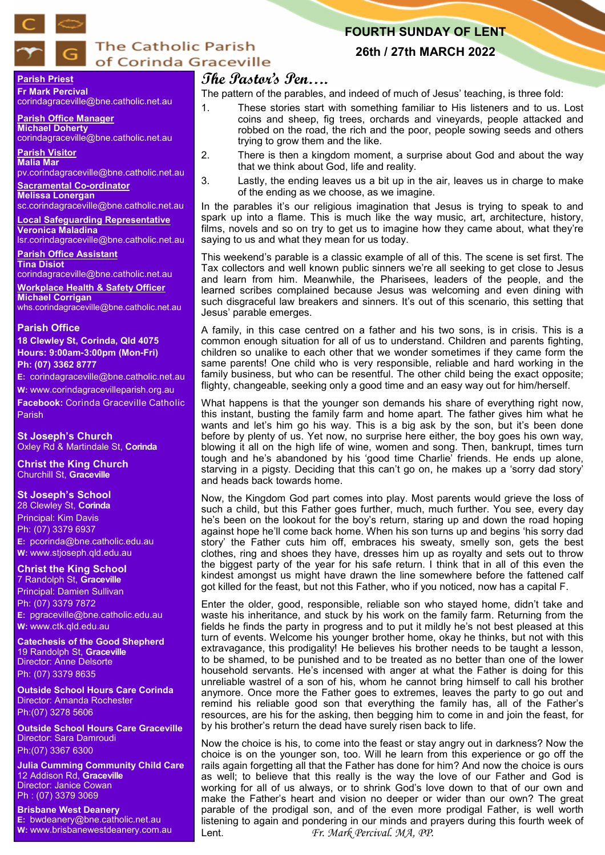

# **The Catholic Parish** of Corinda Graceville

## **FOURTH SUNDAY OF LENT**

### **26th / 27th MARCH 2022**

#### **Parish Priest Fr Mark Percival**

corindagraceville@bne.catholic.net.au

**Parish Office Manager Michael Doherty** corindagraceville@bne.catholic.net.au

**Parish Visitor Malia Mar**  pv.corindagraceville@bne.catholic.net.au

**Sacramental Co-ordinator**

**Melissa Lonergan**  sc.corindagraceville@bne.catholic.net.au

**Local Safeguarding Representative Veronica Maladina** lsr.corindagraceville@bne.catholic.net.au

**Parish Office Assistant** 

**Tina Disiot**  corindagraceville@bne.catholic.net.au

**Workplace Health & Safety Officer Michael Corrigan** whs.corindagraceville@bne.catholic.net.au

#### **Parish Office**

**18 Clewley St, Corinda, Qld 4075 Hours: 9:00am-3:00pm (Mon-Fri) Ph: (07) 3362 8777**

**E:** corindagraceville@bne.catholic.net.au

**W:** www.corindagracevilleparish.org.au **Facebook:** Corinda Graceville Catholic Parish

**St Joseph's Church** Oxley Rd & Martindale St, **Corinda**

**Christ the King Church** Churchill St, **Graceville**

### **St Joseph's School**

28 Clewley St, **Corinda** Principal: Kim Davis Ph: (07) 3379 6937 **E:** pcorinda@bne.catholic.edu.au **W:** www.stjoseph.qld.edu.au

## **Christ the King School**

7 Randolph St, **Graceville** Principal: Damien Sullivan Ph: (07) 3379 7872 **E:** pgraceville@bne.catholic.edu.au **W:** www.ctk.qld.edu.au

**Catechesis of the Good Shepherd**  19 Randolph St, **Graceville**  Director: Anne Delsorte Ph: (07) 3379 8635

**Outside School Hours Care Corinda**  Director: Amanda Rochester Ph:(07) 3278 5606

**Outside School Hours Care Graceville**  Director: Sara Damroudi Ph:(07) 3367 6300

**Julia Cumming Community Child Care**  12 Addison Rd, **Graceville**  Director: Janice Cowan Ph : (07) 3379 3069

**Brisbane West Deanery E:** bwdeanery@bne.catholic.net.au **W:** www.brisbanewestdeanery.com.au

# **The Pastor's Pen….**

The pattern of the parables, and indeed of much of Jesus' teaching, is three fold:

- 1. These stories start with something familiar to His listeners and to us. Lost coins and sheep, fig trees, orchards and vineyards, people attacked and robbed on the road, the rich and the poor, people sowing seeds and others trying to grow them and the like.
- 2. There is then a kingdom moment, a surprise about God and about the way that we think about God, life and reality.
- 3. Lastly, the ending leaves us a bit up in the air, leaves us in charge to make of the ending as we choose, as we imagine.

In the parables it's our religious imagination that Jesus is trying to speak to and spark up into a flame. This is much like the way music, art, architecture, history, films, novels and so on try to get us to imagine how they came about, what they're saying to us and what they mean for us today.

This weekend's parable is a classic example of all of this. The scene is set first. The Tax collectors and well known public sinners we're all seeking to get close to Jesus and learn from him. Meanwhile, the Pharisees, leaders of the people, and the learned scribes complained because Jesus was welcoming and even dining with such disgraceful law breakers and sinners. It's out of this scenario, this setting that Jesus' parable emerges.

A family, in this case centred on a father and his two sons, is in crisis. This is a common enough situation for all of us to understand. Children and parents fighting, children so unalike to each other that we wonder sometimes if they came form the same parents! One child who is very responsible, reliable and hard working in the family business, but who can be resentful. The other child being the exact opposite; flighty, changeable, seeking only a good time and an easy way out for him/herself.

What happens is that the younger son demands his share of everything right now, this instant, busting the family farm and home apart. The father gives him what he wants and let's him go his way. This is a big ask by the son, but it's been done before by plenty of us. Yet now, no surprise here either, the boy goes his own way, blowing it all on the high life of wine, women and song. Then, bankrupt, times turn tough and he's abandoned by his 'good time Charlie' friends. He ends up alone, starving in a pigsty. Deciding that this can't go on, he makes up a 'sorry dad story' and heads back towards home.

Now, the Kingdom God part comes into play. Most parents would grieve the loss of such a child, but this Father goes further, much, much further. You see, every day he's been on the lookout for the boy's return, staring up and down the road hoping against hope he'll come back home. When his son turns up and begins 'his sorry dad story' the Father cuts him off, embraces his sweaty, smelly son, gets the best clothes, ring and shoes they have, dresses him up as royalty and sets out to throw the biggest party of the year for his safe return. I think that in all of this even the kindest amongst us might have drawn the line somewhere before the fattened calf got killed for the feast, but not this Father, who if you noticed, now has a capital F.

Enter the older, good, responsible, reliable son who stayed home, didn't take and waste his inheritance, and stuck by his work on the family farm. Returning from the fields he finds the party in progress and to put it mildly he's not best pleased at this turn of events. Welcome his younger brother home, okay he thinks, but not with this extravagance, this prodigality! He believes his brother needs to be taught a lesson, to be shamed, to be punished and to be treated as no better than one of the lower household servants. He's incensed with anger at what the Father is doing for this unreliable wastrel of a son of his, whom he cannot bring himself to call his brother anymore. Once more the Father goes to extremes, leaves the party to go out and remind his reliable good son that everything the family has, all of the Father's resources, are his for the asking, then begging him to come in and join the feast, for by his brother's return the dead have surely risen back to life.

Now the choice is his, to come into the feast or stay angry out in darkness? Now the choice is on the younger son, too. Will he learn from this experience or go off the rails again forgetting all that the Father has done for him? And now the choice is ours as well; to believe that this really is the way the love of our Father and God is working for all of us always, or to shrink God's love down to that of our own and make the Father's heart and vision no deeper or wider than our own? The great parable of the prodigal son, and of the even more prodigal Father, is well worth listening to again and pondering in our minds and prayers during this fourth week of Lent. *Fr. Mark Percival. MA, PP.*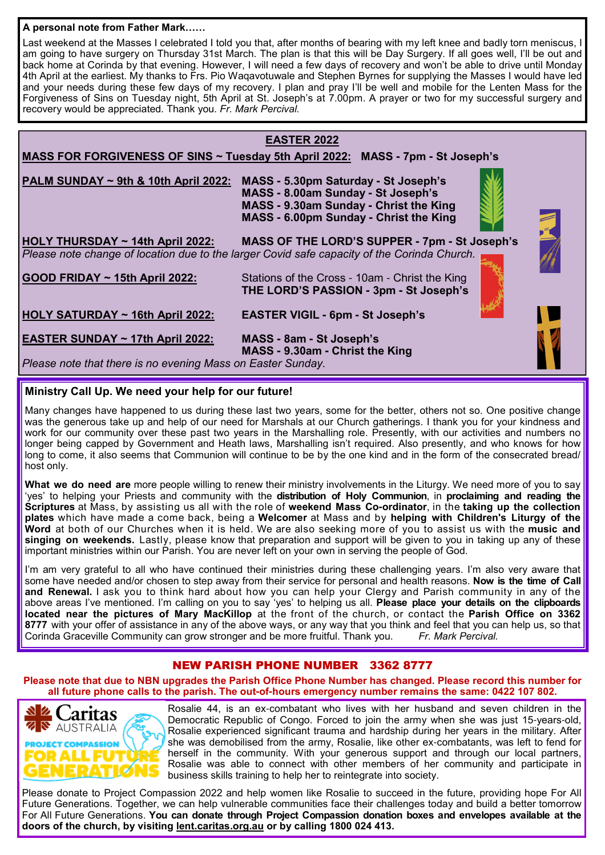### **A personal note from Father Mark……**

Last weekend at the Masses I celebrated I told you that, after months of bearing with my left knee and badly torn meniscus, I am going to have surgery on Thursday 31st March. The plan is that this will be Day Surgery. If all goes well, I'll be out and back home at Corinda by that evening. However, I will need a few days of recovery and won't be able to drive until Monday 4th April at the earliest. My thanks to Frs. Pio Waqavotuwale and Stephen Byrnes for supplying the Masses I would have led and your needs during these few days of my recovery. I plan and pray I'll be well and mobile for the Lenten Mass for the Forgiveness of Sins on Tuesday night, 5th April at St. Joseph's at 7.00pm. A prayer or two for my successful surgery and recovery would be appreciated. Thank you. *Fr. Mark Percival.*

# **EASTER 2022 MASS FOR FORGIVENESS OF SINS ~ Tuesday 5th April 2022: MASS - 7pm - St Joseph's PALM SUNDAY ~ 9th & 10th April 2022: MASS - 5.30pm Saturday - St Joseph's MASS - 8.00am Sunday - St Joseph's MASS - 9.30am Sunday - Christ the King MASS - 6.00pm Sunday - Christ the King HOLY THURSDAY ~ 14th April 2022: MASS OF THE LORD'S SUPPER - 7pm - St Joseph's** *Please note change of location due to the larger Covid safe capacity of the Corinda Church.* **GOOD FRIDAY ~ 15th April 2022:** Stations of the Cross - 10am - Christ the King  **THE LORD'S PASSION - 3pm - St Joseph's HOLY SATURDAY ~ 16th April 2022: EASTER VIGIL - 6pm - St Joseph's EASTER SUNDAY ~ 17th April 2022: MASS - 8am - St Joseph's MASS - 9.30am - Christ the King**  *Please note that there is no evening Mass on Easter Sunday.*

### **Ministry Call Up. We need your help for our future!**

Many changes have happened to us during these last two years, some for the better, others not so. One positive change was the generous take up and help of our need for Marshals at our Church gatherings. I thank you for your kindness and work for our community over these past two years in the Marshalling role. Presently, with our activities and numbers no longer being capped by Government and Heath laws, Marshalling isn't required. Also presently, and who knows for how long to come, it also seems that Communion will continue to be by the one kind and in the form of the consecrated bread/ host only.

**What we do need are** more people willing to renew their ministry involvements in the Liturgy. We need more of you to say 'yes' to helping your Priests and community with the **distribution of Holy Communion**, in **proclaiming and reading the Scriptures** at Mass, by assisting us all with the role of **weekend Mass Co-ordinator**, in the **taking up the collection plates** which have made a come back, being a **Welcomer** at Mass and by **helping with Children's Liturgy of the Word** at both of our Churches when it is held. We are also seeking more of you to assist us with the **music and singing on weekends.** Lastly, please know that preparation and support will be given to you in taking up any of these important ministries within our Parish. You are never left on your own in serving the people of God.

I'm am very grateful to all who have continued their ministries during these challenging years. I'm also very aware that some have needed and/or chosen to step away from their service for personal and health reasons. **Now is the time of Call and Renewal.** I ask you to think hard about how you can help your Clergy and Parish community in any of the above areas I've mentioned. I'm calling on you to say 'yes' to helping us all. **Please place your details on the clipboards located near the pictures of Mary MacKillop** at the front of the church, or contact the **Parish Office on 3362 8777** with your offer of assistance in any of the above ways, or any way that you think and feel that you can help us, so that Corinda Graceville Community can grow stronger and be more fruitful. Thank you. *Fr. Mark Percival.*

### NEW PARISH PHONE NUMBER 3362 8777

**Please note that due to NBN upgrades the Parish Office Phone Number has changed. Please record this number for all future phone calls to the parish. The out-of-hours emergency number remains the same: 0422 107 802.**



Rosalie 44, is an ex-combatant who lives with her husband and seven children in the Democratic Republic of Congo. Forced to join the army when she was just 15-years-old, Rosalie experienced significant trauma and hardship during her years in the military. After she was demobilised from the army, Rosalie, like other ex-combatants, was left to fend for herself in the community. With your generous support and through our local partners, Rosalie was able to connect with other members of her community and participate in business skills training to help her to reintegrate into society.

Please donate to Project Compassion 2022 and help women like Rosalie to succeed in the future, providing hope For All Future Generations. Together, we can help vulnerable communities face their challenges today and build a better tomorrow For All Future Generations. **You can donate through Project Compassion donation boxes and envelopes available at the doors of the church, by visiting lent.caritas.org.au or by calling 1800 024 413.**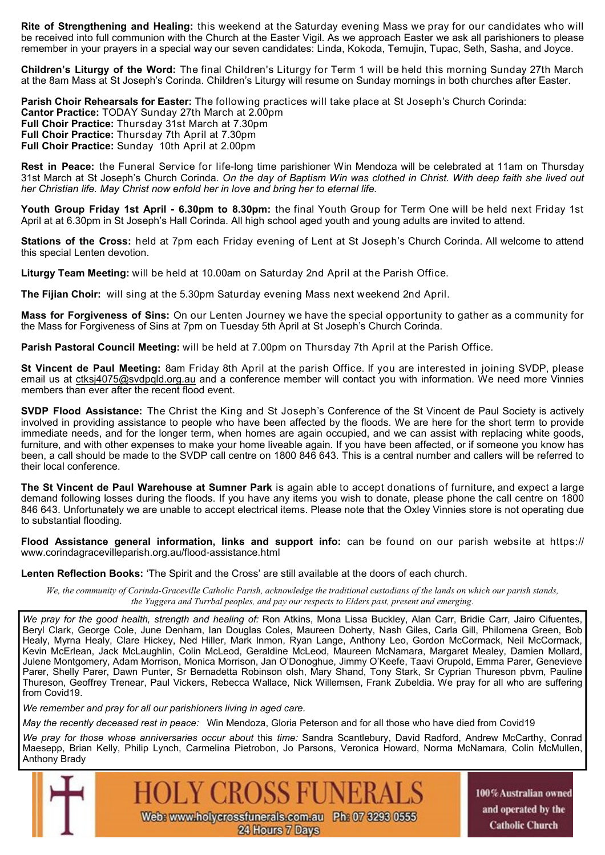**Rite of Strengthening and Healing:** this weekend at the Saturday evening Mass we pray for our candidates who will be received into full communion with the Church at the Easter Vigil. As we approach Easter we ask all parishioners to please remember in your prayers in a special way our seven candidates: Linda, Kokoda, Temujin, Tupac, Seth, Sasha, and Joyce.

**Children's Liturgy of the Word:** The final Children's Liturgy for Term 1 will be held this morning Sunday 27th March at the 8am Mass at St Joseph's Corinda. Children's Liturgy will resume on Sunday mornings in both churches after Easter.

**Parish Choir Rehearsals for Easter:** The following practices will take place at St Joseph's Church Corinda: **Cantor Practice:** TODAY Sunday 27th March at 2.00pm **Full Choir Practice:** Thursday 31st March at 7.30pm **Full Choir Practice:** Thursday 7th April at 7.30pm **Full Choir Practice:** Sunday 10th April at 2.00pm

**Rest in Peace:** the Funeral Service for life-long time parishioner Win Mendoza will be celebrated at 11am on Thursday 31st March at St Joseph's Church Corinda. *On the day of Baptism Win was clothed in Christ. With deep faith she lived out her Christian life. May Christ now enfold her in love and bring her to eternal life.*

**Youth Group Friday 1st April - 6.30pm to 8.30pm:** the final Youth Group for Term One will be held next Friday 1st April at at 6.30pm in St Joseph's Hall Corinda. All high school aged youth and young adults are invited to attend.

**Stations of the Cross:** held at 7pm each Friday evening of Lent at St Joseph's Church Corinda. All welcome to attend this special Lenten devotion.

**Liturgy Team Meeting:** will be held at 10.00am on Saturday 2nd April at the Parish Office.

**The Fijian Choir:** will sing at the 5.30pm Saturday evening Mass next weekend 2nd April.

**Mass for Forgiveness of Sins:** On our Lenten Journey we have the special opportunity to gather as a community for the Mass for Forgiveness of Sins at 7pm on Tuesday 5th April at St Joseph's Church Corinda.

**Parish Pastoral Council Meeting:** will be held at 7.00pm on Thursday 7th April at the Parish Office.

**St Vincent de Paul Meeting:** 8am Friday 8th April at the parish Office. If you are interested in joining SVDP, please email us at ctksj4075@svdpqld.org.au and a conference member will contact you with information. We need more Vinnies members than ever after the recent flood event.

**SVDP Flood Assistance:** The Christ the King and St Joseph's Conference of the St Vincent de Paul Society is actively involved in providing assistance to people who have been affected by the floods. We are here for the short term to provide immediate needs, and for the longer term, when homes are again occupied, and we can assist with replacing white goods, furniture, and with other expenses to make your home liveable again. If you have been affected, or if someone you know has been, a call should be made to the SVDP call centre on 1800 846 643. This is a central number and callers will be referred to their local conference.

**The St Vincent de Paul Warehouse at Sumner Park** is again able to accept donations of furniture, and expect a large demand following losses during the floods. If you have any items you wish to donate, please phone the call centre on 1800 846 643. Unfortunately we are unable to accept electrical items. Please note that the Oxley Vinnies store is not operating due to substantial flooding.

**Flood Assistance general information, links and support info:** can be found on our parish website at https:// www.corindagracevilleparish.org.au/flood-assistance.html

**Lenten Reflection Books:** 'The Spirit and the Cross' are still available at the doors of each church.

*We, the community of Corinda-Graceville Catholic Parish, acknowledge the traditional custodians of the lands on which our parish stands, the Yuggera and Turrbal peoples, and pay our respects to Elders past, present and emerging*.

*We pray for the good health, strength and healing of:* Ron Atkins, Mona Lissa Buckley, Alan Carr, Bridie Carr, Jairo Cifuentes, Beryl Clark, George Cole, June Denham, Ian Douglas Coles, Maureen Doherty, Nash Giles, Carla Gill, Philomena Green, Bob Healy, Myrna Healy, Clare Hickey, Ned Hiller, Mark Inmon, Ryan Lange, Anthony Leo, Gordon McCormack, Neil McCormack, Kevin McErlean, Jack McLaughlin, Colin McLeod, Geraldine McLeod, Maureen McNamara, Margaret Mealey, Damien Mollard, Julene Montgomery, Adam Morrison, Monica Morrison, Jan O'Donoghue, Jimmy O'Keefe, Taavi Orupold, Emma Parer, Genevieve Parer, Shelly Parer, Dawn Punter, Sr Bernadetta Robinson olsh, Mary Shand, Tony Stark, Sr Cyprian Thureson pbvm, Pauline Thureson, Geoffrey Trenear, Paul Vickers, Rebecca Wallace, Nick Willemsen, Frank Zubeldia. We pray for all who are suffering from Covid19.

*We remember and pray for all our parishioners living in aged care.* 

*May the recently deceased rest in peace:* Win Mendoza, Gloria Peterson and for all those who have died from Covid19

*We pray for those whose anniversaries occur about* this *time:* Sandra Scantlebury, David Radford, Andrew McCarthy, Conrad Maesepp, Brian Kelly, Philip Lynch, Carmelina Pietrobon, Jo Parsons, Veronica Howard, Norma McNamara, Colin McMullen, Anthony Brady



100% Australian owned and operated by the **Catholic Church**